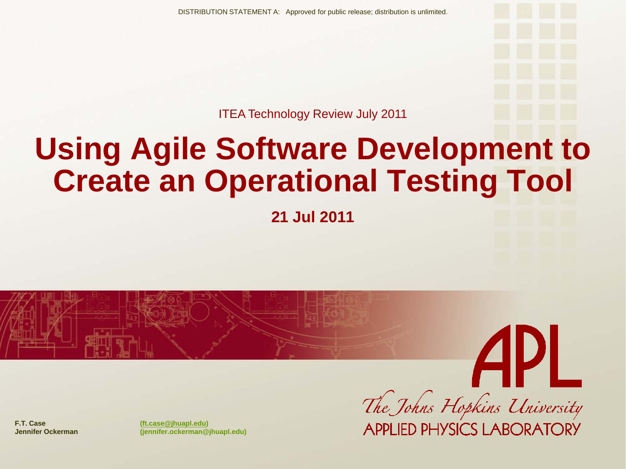ITEA Technology Review July 2011

# **Using Agile Software Development to Create an Operational Testing Tool**

**21 Jul 2011**



The Johns Hopkins University **APPLIED PHYSICS LABORATORY** 

**F.T. Case ([ft.case@jhuapl.edu](mailto:ft.case@jhuapl.edu))**

**Jennifer Ockerman (jennifer.ockerman@jhuapl.edu)**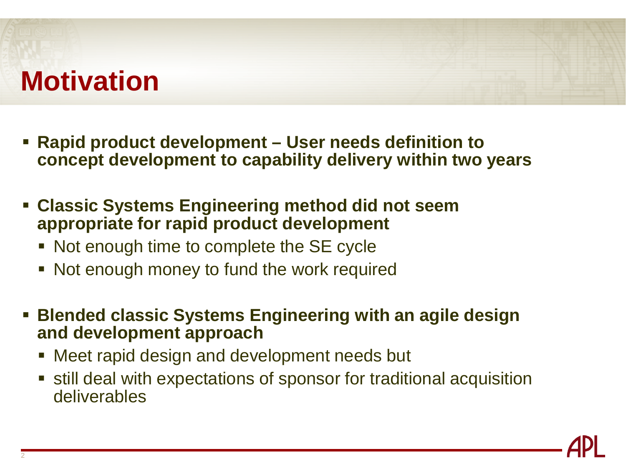## **Motivation**

- **Rapid product development – User needs definition to concept development to capability delivery within two years**
- **Classic Systems Engineering method did not seem appropriate for rapid product development**
	- Not enough time to complete the SE cycle
	- Not enough money to fund the work required
- **Blended classic Systems Engineering with an agile design and development approach**
	- Meet rapid design and development needs but

 still deal with expectations of sponsor for traditional acquisition deliverables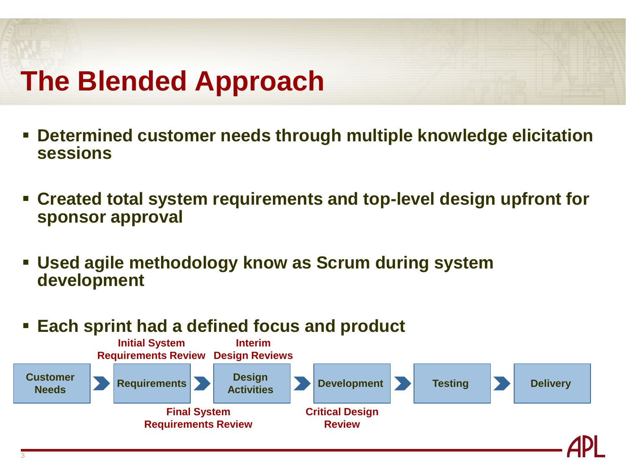## **The Blended Approach**

- **Determined customer needs through multiple knowledge elicitation sessions**
- **Created total system requirements and top-level design upfront for sponsor approval**
- **Used agile methodology know as Scrum during system development**
- **Each sprint had a defined focus and product**

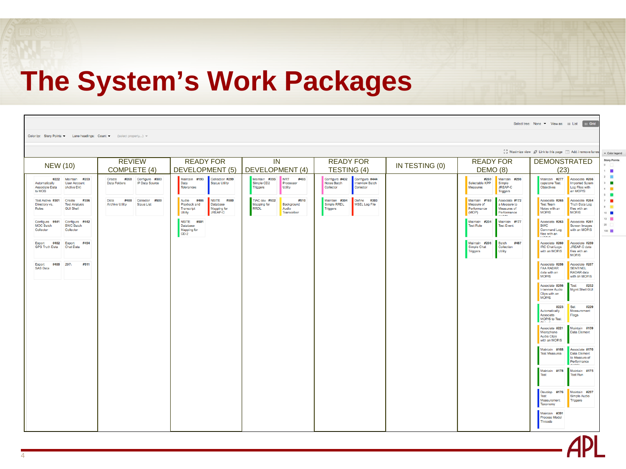### **The System's Work Packages**

|                                                  |                                                           |                                                                               |                                                                                                                              |                                                                                                                 |                                                                                                     |                |                                                                                                                     | Select tree: None v View as: i List Fig. Grid                                                                                            |                                        |
|--------------------------------------------------|-----------------------------------------------------------|-------------------------------------------------------------------------------|------------------------------------------------------------------------------------------------------------------------------|-----------------------------------------------------------------------------------------------------------------|-----------------------------------------------------------------------------------------------------|----------------|---------------------------------------------------------------------------------------------------------------------|------------------------------------------------------------------------------------------------------------------------------------------|----------------------------------------|
|                                                  |                                                           | Color by: Story Points v Lane headings: Count v (select property) v           |                                                                                                                              |                                                                                                                 |                                                                                                     |                |                                                                                                                     |                                                                                                                                          |                                        |
|                                                  |                                                           |                                                                               |                                                                                                                              |                                                                                                                 |                                                                                                     |                |                                                                                                                     | $\frac{R}{k-2}$ Maximize view $\mathscr{D}$ Link to this page $\Box$ Add / remove lanes                                                  | - Color legend                         |
| <b>NEW (10)</b>                                  |                                                           | <b>REVIEW</b><br>COMPLETE (4)                                                 | <b>READY FOR</b><br>DEVELOPMENT (5)                                                                                          | IN<br><b>DEVELOPMENT (4)</b>                                                                                    | <b>READY FOR</b><br>TESTING (4)                                                                     | IN TESTING (0) | <b>READY FOR</b><br>DEMO (8)                                                                                        | <b>DEMONSTRATED</b><br>(23)                                                                                                              | <b>Story Points</b><br>0<br>$1 - 1$    |
| Automatically<br><b>Associate Data</b><br>to MOS | #222 Maintain #203<br><b>User Account</b><br>(Active Dir) | #268 Configure #303<br>Create<br><b>Data Folders</b><br><b>IP Data Source</b> | Maintain #193<br>Collection #299<br>Data<br><b>Status Utility</b><br>Tolerances                                              | Maintain #395<br><b>NRT</b><br>#485<br>Simple CD <sub>2</sub><br>Processor<br><b>Triggers</b><br><b>Utility</b> | Configure #432<br>Configure #444<br>Notes Batch<br><b>Interview Batch</b><br>Collector<br>Collector |                | #269<br>Maintain #298<br>Selectable KPP<br>Simple<br>Measures<br><b>JREAP-C</b><br><b>Triggers</b>                  | Maintain #277<br>Associate #266<br>capstone Test<br><b>Imported Sytem</b><br>Objectives<br>Log Files with<br>an MOP/S                    | 2 <sub>1</sub><br>×<br>4.1<br>$5 - 12$ |
| Test Active #301<br>Directory vs.<br>Roles       | Create #396<br><b>Test Analysis</b><br><b>GUI Shell</b>   | #488 Collector #509<br>Data<br><b>Archive Utility</b><br><b>Staus List</b>    | <b>NSITE #500</b><br>Audio #486<br>Playback and<br><b>Database</b><br>Transcript<br>Mapping for<br>JREAP-C<br><b>Utility</b> | TIAC csv #502<br>#510<br><b>Mapping for</b><br>Background<br><b>RRDL</b><br>Audio<br>Transcriber                | Maintian #394<br>$Define$ #393<br>Simple RRDL<br><b>MSEL Log File</b><br><b>Triggers</b>            |                | Maintain #169<br>Associate #172<br>Measure of<br>a Measure to<br>Performance<br>Measures of<br>(MOP)<br>Performance | Associate #265<br>Associate #264<br><b>Test Team</b><br><b>Truth Data Log</b><br>Notes with an<br>files with an<br><b>MOP/S</b><br>MOP/S | $\cdot$ =<br>$10$ <b>m</b>             |
| Configure #441<br><b>MOC Batch</b><br>Collector  | Configure #442<br><b>BWC Batch</b><br>Collector           |                                                                               | NSITE #501<br>Database<br>Mapping for<br>$CD-2$                                                                              |                                                                                                                 |                                                                                                     |                | Maintain #204<br>Maintain #177<br><b>Test Role</b><br><b>Test Event</b>                                             | Associate #263<br>Associate #261<br><b>BWC</b><br>Screen Images<br>Command Log<br>with an MOP/S<br>files with an                         | $13 - 10$<br>20<br>100 00              |
| <b>GPS Truth Data</b>                            | Export #452 Export #454<br><b>Chat Data</b>               |                                                                               |                                                                                                                              |                                                                                                                 |                                                                                                     |                | Maintain #296<br>Batch #487<br>Simple Chat<br>Collection<br>Utility<br>Triggers                                     | Associate #260<br>Associate #259<br><b>IRC Chat Logs</b><br>JREAP-C data<br>with an MOP/S<br>files with an<br>MOP/S                      |                                        |
| Export #455 297\<br><b>SAS Data</b>              | #511                                                      |                                                                               |                                                                                                                              |                                                                                                                 |                                                                                                     |                |                                                                                                                     | Associate #258<br>Associate #257<br><b>FAA RADAR</b><br><b>SENTINEL</b><br>RADAR data<br>data with an<br><b>MOP/S</b><br>with an MOP/S   |                                        |
|                                                  |                                                           |                                                                               |                                                                                                                              |                                                                                                                 |                                                                                                     |                |                                                                                                                     | Associate #256<br>#232<br>Test<br>Mgmt Shell GUI<br><b>Interview Audio</b><br>Clips with an<br><b>MOP/S</b>                              |                                        |
|                                                  |                                                           |                                                                               |                                                                                                                              |                                                                                                                 |                                                                                                     |                |                                                                                                                     | #223<br><b>Set</b><br>#229<br>Automatically<br>Measurement<br>Associate<br>Flags<br>MOP/S to Test                                        |                                        |
|                                                  |                                                           |                                                                               |                                                                                                                              |                                                                                                                 |                                                                                                     |                |                                                                                                                     | Maintain #159<br>Associate #221<br>Microphone<br><b>Data Element</b><br><b>Audio Clips</b><br>with an MOP/S                              |                                        |
|                                                  |                                                           |                                                                               |                                                                                                                              |                                                                                                                 |                                                                                                     |                |                                                                                                                     | Maintain #168<br>Associate #170<br><b>Test Measures</b><br>Data Element<br>to Measure of<br>Performance                                  |                                        |
|                                                  |                                                           |                                                                               |                                                                                                                              |                                                                                                                 |                                                                                                     |                |                                                                                                                     | Maintain #178<br>Maintain #175<br>Test<br><b>Test Run</b>                                                                                |                                        |
|                                                  |                                                           |                                                                               |                                                                                                                              |                                                                                                                 |                                                                                                     |                |                                                                                                                     | Develop #176<br>Maintain #297<br><b>Test</b><br>Simple Audio<br>Triggers<br>Measurement<br>Taxonomy                                      |                                        |
|                                                  |                                                           |                                                                               |                                                                                                                              |                                                                                                                 |                                                                                                     |                |                                                                                                                     | Maintain #391<br><b>Process Model</b><br><b>Threads</b>                                                                                  |                                        |

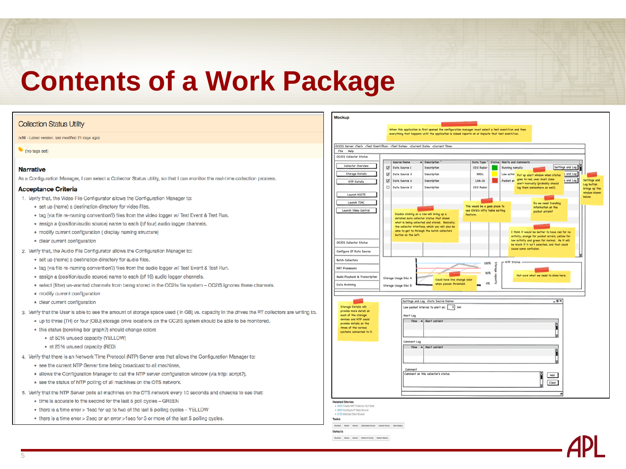### **Contents of a Work Package**

#### **Collection Status Utility**

(v50 - Latest version, last modified 21 days ago)

(no tags set)

#### **Narrative**

As a Configuration Manager, I can select a Collector Status utility, so that I can monitor the real-time collection process.

#### **Acceptance Criteria**

- 1. Verify that, the Video File Configurator allows the Configuration Manager to:
	- · set up (name) a destination directory for video files.
	- . tag (via file re-naming convention?) files from the video logger w/ Test Event & Test Run.
	- · assign a (position/audio source) name to each (of four) audio logger channels.
	- · modify current configuration (display naming structure)
	- · clear current configuration
- 2. Verify that, the Audio File Configurator allows the Configuration Manager to:
	- . set up (name) a destination directory for audio files.
	- . tag (via file re-naming convention?) files from the audio logger w/ Test Event & Test Run.
	- · assign a (position/audio source) name to each (of 16) audio logger channels.
	- · select (filter) un-wanted channels from being stored in the OC2Is file system OC2IS ignores these channels.
	- · modify current configuration
	- · clear current configuration
- 3. Verify that the User is able to see the amount of storage space used (in GB) vs. capacity in the drives the RT collectors are writing to.
	- . up to three (TH) or four (OBJ) storage drive locations on the OC2IS system should be able to be monitored.
	- . this status (scrolling bar graph?) should change colors
		- · at 50% unused capacity (YELLOW)
		- · at 25% unused capacity (RED)
- 4. Verify that there is an Network Time Protocol (NTP) Server area that allows the Configuration Manager to:
	- . see the current NTP Server time being broadcast to all machines,
	- . allows the Configuration Manager to call the NTP server configuration window (via http: script?),
	- . see the status of NTP polling of all machines on the OTS network.
- 5. Verify that the NTP Server polls all machines on the OTS network every 10 seconds and chaecks to see that:
	- time is accurate to the second for the last 5 poll cycles GREEN
	- . there is a time error > 1sec for up to two of the last 5 polling cycles YELLOW
	- . there is a time error > 2sec or an error >1sec for 3 or more of the last 5 polling cycles.



Number Name Owner Defect Printly Defect Status